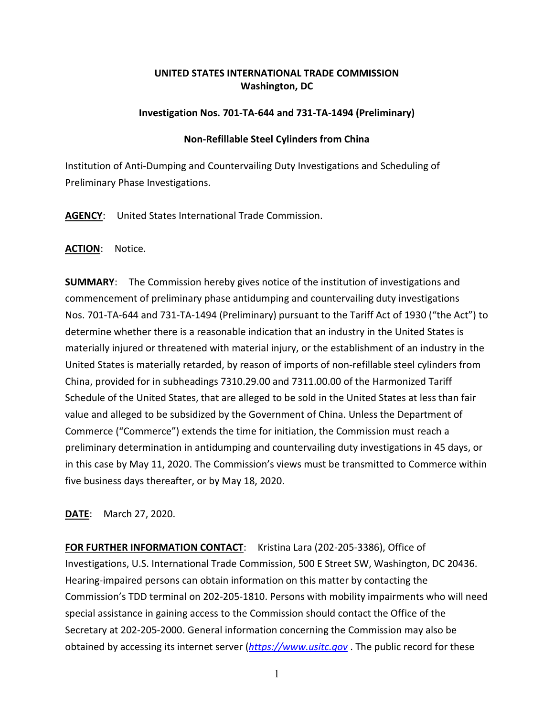## **UNITED STATES INTERNATIONAL TRADE COMMISSION Washington, DC**

## **Investigation Nos. 701-TA-644 and 731-TA-1494 (Preliminary)**

## **Non-Refillable Steel Cylinders from China**

Institution of Anti-Dumping and Countervailing Duty Investigations and Scheduling of Preliminary Phase Investigations.

**AGENCY**: United States International Trade Commission.

**ACTION**: Notice.

**SUMMARY**: The Commission hereby gives notice of the institution of investigations and commencement of preliminary phase antidumping and countervailing duty investigations Nos. 701-TA-644 and 731-TA-1494 (Preliminary) pursuant to the Tariff Act of 1930 ("the Act") to determine whether there is a reasonable indication that an industry in the United States is materially injured or threatened with material injury, or the establishment of an industry in the United States is materially retarded, by reason of imports of non-refillable steel cylinders from China, provided for in subheadings 7310.29.00 and 7311.00.00 of the Harmonized Tariff Schedule of the United States, that are alleged to be sold in the United States at less than fair value and alleged to be subsidized by the Government of China. Unless the Department of Commerce ("Commerce") extends the time for initiation, the Commission must reach a preliminary determination in antidumping and countervailing duty investigations in 45 days, or in this case by May 11, 2020. The Commission's views must be transmitted to Commerce within five business days thereafter, or by May 18, 2020.

**DATE**: March 27, 2020.

**FOR FURTHER INFORMATION CONTACT:** Kristina Lara (202-205-3386), Office of Investigations, U.S. International Trade Commission, 500 E Street SW, Washington, DC 20436. Hearing-impaired persons can obtain information on this matter by contacting the Commission's TDD terminal on 202-205-1810. Persons with mobility impairments who will need special assistance in gaining access to the Commission should contact the Office of the Secretary at 202-205-2000. General information concerning the Commission may also be obtained by accessing its internet server (*[https://www.usitc.gov](https://www.usitc.gov/)* . The public record for these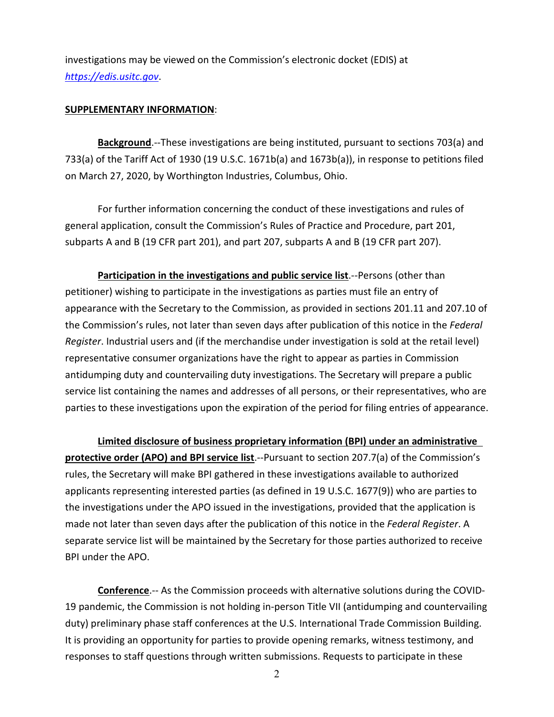investigations may be viewed on the Commission's electronic docket (EDIS) at *[https://edis.usitc.gov](https://edis.usitc.gov/)*.

## **SUPPLEMENTARY INFORMATION**:

**Background**.--These investigations are being instituted, pursuant to sections 703(a) and 733(a) of the Tariff Act of 1930 (19 U.S.C. 1671b(a) and 1673b(a)), in response to petitions filed on March 27, 2020, by Worthington Industries, Columbus, Ohio.

For further information concerning the conduct of these investigations and rules of general application, consult the Commission's Rules of Practice and Procedure, part 201, subparts A and B (19 CFR part 201), and part 207, subparts A and B (19 CFR part 207).

**Participation in the investigations and public service list**.--Persons (other than petitioner) wishing to participate in the investigations as parties must file an entry of appearance with the Secretary to the Commission, as provided in sections 201.11 and 207.10 of the Commission's rules, not later than seven days after publication of this notice in the *Federal Register*. Industrial users and (if the merchandise under investigation is sold at the retail level) representative consumer organizations have the right to appear as parties in Commission antidumping duty and countervailing duty investigations. The Secretary will prepare a public service list containing the names and addresses of all persons, or their representatives, who are parties to these investigations upon the expiration of the period for filing entries of appearance.

**Limited disclosure of business proprietary information (BPI) under an administrative protective order (APO) and BPI service list**.--Pursuant to section 207.7(a) of the Commission's rules, the Secretary will make BPI gathered in these investigations available to authorized applicants representing interested parties (as defined in 19 U.S.C. 1677(9)) who are parties to the investigations under the APO issued in the investigations, provided that the application is made not later than seven days after the publication of this notice in the *Federal Register*. A separate service list will be maintained by the Secretary for those parties authorized to receive BPI under the APO.

**Conference**.-- As the Commission proceeds with alternative solutions during the COVID-19 pandemic, the Commission is not holding in-person Title VII (antidumping and countervailing duty) preliminary phase staff conferences at the U.S. International Trade Commission Building. It is providing an opportunity for parties to provide opening remarks, witness testimony, and responses to staff questions through written submissions. Requests to participate in these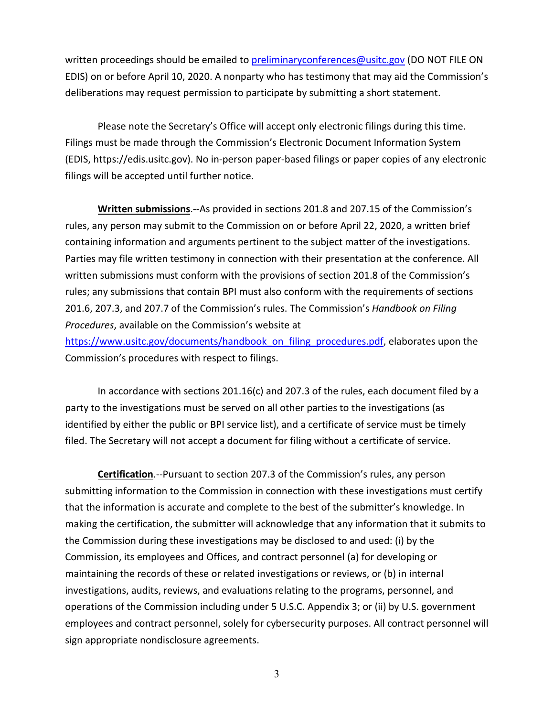written proceedings should be emailed to [preliminaryconferences@usitc.gov](mailto:preliminaryconferences@usitc.gov) (DO NOT FILE ON EDIS) on or before April 10, 2020. A nonparty who has testimony that may aid the Commission's deliberations may request permission to participate by submitting a short statement.

Please note the Secretary's Office will accept only electronic filings during this time. Filings must be made through the Commission's Electronic Document Information System (EDIS, https://edis.usitc.gov). No in-person paper-based filings or paper copies of any electronic filings will be accepted until further notice.

**Written submissions**.--As provided in sections 201.8 and 207.15 of the Commission's rules, any person may submit to the Commission on or before April 22, 2020, a written brief containing information and arguments pertinent to the subject matter of the investigations. Parties may file written testimony in connection with their presentation at the conference. All written submissions must conform with the provisions of section 201.8 of the Commission's rules; any submissions that contain BPI must also conform with the requirements of sections 201.6, 207.3, and 207.7 of the Commission's rules. The Commission's *Handbook on Filing Procedures*, available on the Commission's website at

[https://www.usitc.gov/documents/handbook\\_on\\_filing\\_procedures.pdf,](https://www.usitc.gov/documents/handbook_on_filing_procedures.pdf) elaborates upon the Commission's procedures with respect to filings.

In accordance with sections 201.16(c) and 207.3 of the rules, each document filed by a party to the investigations must be served on all other parties to the investigations (as identified by either the public or BPI service list), and a certificate of service must be timely filed. The Secretary will not accept a document for filing without a certificate of service.

**Certification**.--Pursuant to section 207.3 of the Commission's rules, any person submitting information to the Commission in connection with these investigations must certify that the information is accurate and complete to the best of the submitter's knowledge. In making the certification, the submitter will acknowledge that any information that it submits to the Commission during these investigations may be disclosed to and used: (i) by the Commission, its employees and Offices, and contract personnel (a) for developing or maintaining the records of these or related investigations or reviews, or (b) in internal investigations, audits, reviews, and evaluations relating to the programs, personnel, and operations of the Commission including under 5 U.S.C. Appendix 3; or (ii) by U.S. government employees and contract personnel, solely for cybersecurity purposes. All contract personnel will sign appropriate nondisclosure agreements.

3